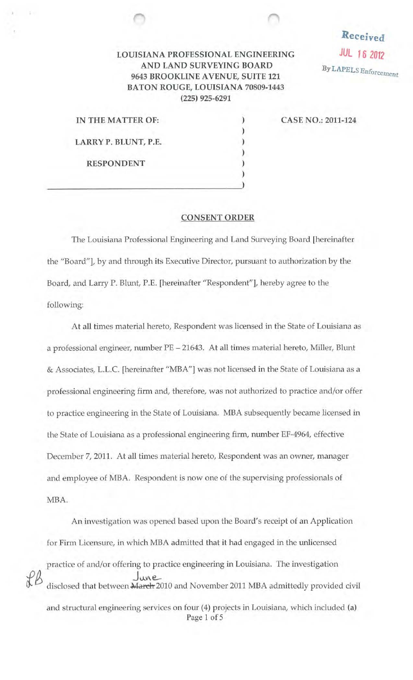## LOUISIANA PROFESSIONAL ENGINEERING JUL 16 2012 AND LAND SURVEYING BOARD 9643 BROOKLINE AVENUE, SUITE 121 BATON ROUGE, LOUISIANA 70809-1443 (225) 925-6291

|  | IN THE MATTER OF:    |  |
|--|----------------------|--|
|  |                      |  |
|  | LARRY P. BLUNT, P.E. |  |
|  |                      |  |
|  | <b>RESPONDENT</b>    |  |
|  |                      |  |
|  |                      |  |

CASE NO.: 2011-124

Received

By LAPELS Enforcement

## CONSENT ORDER

The Louisiana Professional Engineering and Land Surveying Board [hereinafter the "Board"], by and through its Executive Director, pursuant to authorization by the Board, and Larry P. Blunt, P.E. [hereinafter ''Respondent"], hereby agree to the following:

At all times material hereto, Respondent was licensed in the State of Louisiana as a professional engineer, number PE - 21643. At all times material hereto, Miller, Blunt & Associates, L.L.C. [hereinafter "MBA"] was not licensed in the State of Louisiana as a professional engineering firm and, therefore, was not authorized to practice and/or offer to practice engineering in the State of Louisiana. MBA subsequently became licensed in the State of Louisiana as a professional engineering firm, number EF-4964, effective December 7, 2011. At all times material hereto, Respondent was an owner, manager and employee of MBA. Respondent is now one of the supervising professionals of MBA.

An investigation was opened based upon the Board's receipt of an Application for Firm Licensure, in which MBA admitted that it had engaged in the unlicensed practice of and/or offering to practice engineering in Louisiana. The investigation June<br>disclosed that between March 2010 and November 2011 MBA admittedly provided civil and structural engineering services on four (4) projects in Louisiana, which included (a) Page 1 of 5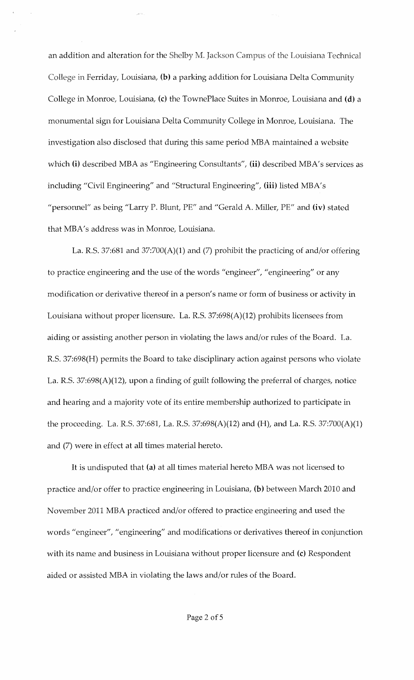an addition and alteration for the Shelby M. Jackson Campus of the Louisiana Technical College in Ferriday, Louisiana, **(b)** a parking addition for Louisiana Delta Community College in Monroe, Louisiana, (c) the TownePlace Suites in Monroe, Louisiana and **(d)** a monumental sign for Louisiana Delta Community College in Monroe, Louisiana. The investigation also disclosed that during this same period MBA maintained a website which **(i)** described MBA as "Engineering Consultants", (ii) described MBA's services as including "Civil Engineering" and "Structural Engineering", **(iii)** listed MBA's "personnel" as being "Larry P. Blunt, PE" and "Gerald A. Miller, PE" and (iv) stated that MBA's address was in Monroe, Louisiana.

La. R.S. 37:681 and 37:700(A)(1) and (7) prohibit the practicing of and/or offering to practice engineering and the use of the words "engineer", "engineering" or any modification or derivative thereof in a person's name or form of business or activity in Louisiana without proper licensure. La. R.S. 37:698(A)(12) prohibits licensees from aiding or assisting another person in violating the laws and/or rules of the Board. La. R.S. 37:698(H) permits the Board to take disciplinary action against persons who violate La. R.S. 37:698(A)(12), upon a finding of guilt following the preferral of charges, notice and hearing and a majority vote of its entire membership authorized to participate in the proceeding. La. R.S. 37:681, La. R.S. 37:698(A)(12) and (H), and La. R.S. 37:700(A)(1) and (7) were in effect at all times material hereto.

It is undisputed that (a) at all times material hereto MBA was not licensed to practice and/or offer to practice engineering in Louisiana, **(b)** between March 2010 and November 2011 MBA practiced and/or offered to practice engineering and used the words "engineer", "engineering" and modifications or derivatives thereof in conjunction with its name and business in Louisiana without proper licensure and (c) Respondent aided or assisted MBA in violating the laws and/or rules of the Board.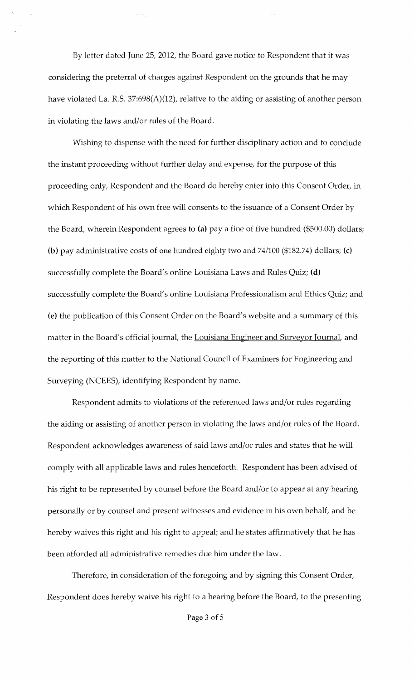By letter dated June 25, 2012, the Board gave notice to Respondent that it was considering the preferral of charges against Respondent on the grounds that he may have violated La. R.S. 37:698(A)(12), relative to the aiding or assisting of another person in violating the laws and/or rules of the Board.

Wishing to dispense with the need for further disciplinary action and to conclude the instant proceeding without further delay and expense, for the purpose of this proceeding only, Respondent and the Board do hereby enter into this Consent Order, in which Respondent of his own free will consents to the issuance of a Consent Order by the Board, wherein Respondent agrees to (a) pay a fine of five hundred (\$500.00) dollars; (b) pay administrative costs of one hundred eighty two and 74/100 (\$182.74) dollars; (c) successfully complete the Board's online Louisiana Laws and Rules Quiz; (d) successfully complete the Board's online Louisiana Professionalism and Ethics Quiz; and (e) the publication of this Consent Order on the Board's website and a summary of this matter in the Board's official journal, the Louisiana Engineer and Surveyor Journal, and the reporting of this matter to the National Council of Examiners for Engineering and Surveying (NCEES), identifying Respondent by name.

Respondent admits to violations of the referenced laws and/or rules regarding the aiding or assisting of another person in violating the laws and/or rules of the Board. Respondent acknowledges awareness of said laws and/or rules and states that he will comply with all applicable laws and rules henceforth. Respondent has been advised of his right to be represented by counsel before the Board and/or to appear at any hearing personally or by counsel and present witnesses and evidence in his own behalf, and he hereby waives this right and his right to appeal; and he states affirmatively that he has been afforded all administrative remedies due him under the law.

Therefore, in consideration of the foregoing and by signing this Consent Order, Respondent does hereby waive his right to a hearing before the Board, to the presenting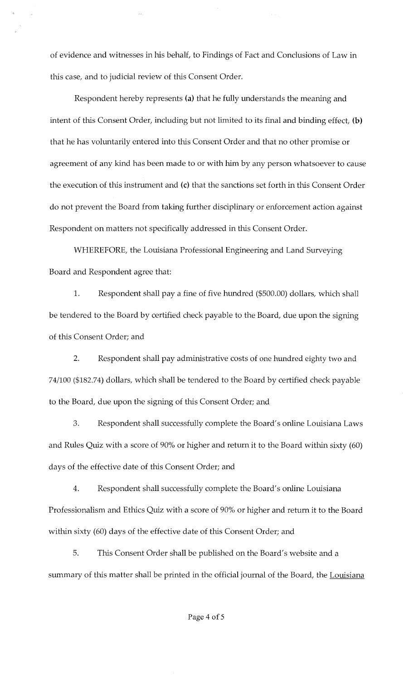of evidence and witnesses in his behalf, to Findings of Fact and Conclusions of Law in this case, and to judicial review of this Consent Order.

Respondent hereby represents (a) that he fully understands the meaning and intent of this Consent Order, including but not limited to its final and binding effect, (b) that he has voluntarily entered into this Consent Order and that no other promise or agreement of any kind has been made to or with him by any person whatsoever to cause the execution of this instrument and (c) that the sanctions set forth in this Consent Order do not prevent the Board from taking further disciplinary or enforcement action against Respondent on matters not specifically addressed in this Consent Order.

WHEREFORE, the Louisiana Professional Engineering and Land Surveying Board and Respondent agree that:

1. Respondent shall pay a fine of five hundred (\$500.00) dollars, which shall be tendered to the Board by certified check payable to the Board, due upon the signing of this Consent Order; and

2. Respondent shall pay administrative costs of one hundred eighty two and 74/100 (\$182.74) dollars, which shall be tendered to the Board by certified check payable to the Board, due upon the signing of this Consent Order; and

3. Respondent shall successfully complete the Board's online Louisiana Laws and Rules Quiz with a score of 90% or higher and return it to the Board within sixty (60) days of the effective date of this Consent Order; and

4. Respondent shall successfully complete the Board's online Louisiana Professionalism and Ethics Quiz with a score of 90% or higher and return it to the Board within sixty (60) days of the effective date of this Consent Order; and

5. This Consent Order shall be published on the Board's website and a summary of this matter shall be printed in the official journal of the Board, the Louisiana